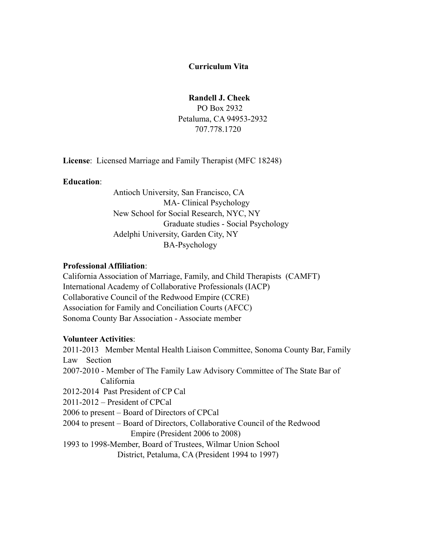#### **Curriculum Vita**

#### **Randell J. Cheek**

 PO Box 2932 Petaluma, CA 94953-2932 707.778.1720

**License**: Licensed Marriage and Family Therapist (MFC 18248)

#### **Education**:

 Antioch University, San Francisco, CA MA- Clinical Psychology New School for Social Research, NYC, NY Graduate studies - Social Psychology Adelphi University, Garden City, NY BA-Psychology

#### **Professional Affiliation**:

California Association of Marriage, Family, and Child Therapists (CAMFT) International Academy of Collaborative Professionals (IACP) Collaborative Council of the Redwood Empire (CCRE) Association for Family and Conciliation Courts (AFCC) Sonoma County Bar Association - Associate member

#### **Volunteer Activities**:

2011-2013 Member Mental Health Liaison Committee, Sonoma County Bar, Family Law Section 2007-2010 - Member of The Family Law Advisory Committee of The State Bar of California 2012-2014 Past President of CP Cal 2011-2012 – President of CPCal 2006 to present – Board of Directors of CPCal 2004 to present – Board of Directors, Collaborative Council of the Redwood Empire (President 2006 to 2008) 1993 to 1998-Member, Board of Trustees, Wilmar Union School District, Petaluma, CA (President 1994 to 1997)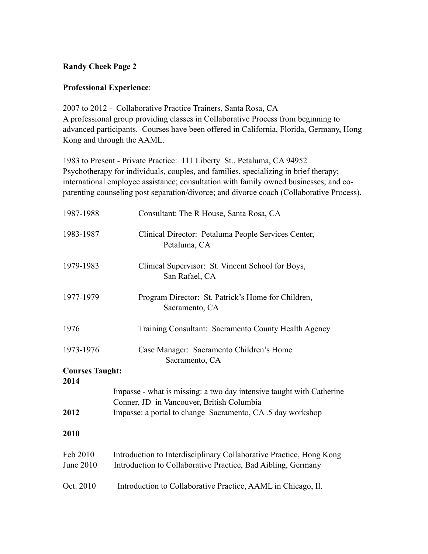# **Randy Cheek Page 2**

## **Professional Experience**:

2007 to 2012 - Collaborative Practice Trainers, Santa Rosa, CA A professional group providing classes in Collaborative Process from beginning to advanced participants. Courses have been offered in California, Florida, Germany, Hong Kong and through the AAML.

1983 to Present - Private Practice: 111 Liberty St., Petaluma, CA 94952 Psychotherapy for individuals, couples, and families, specializing in brief therapy; international employee assistance; consultation with family owned businesses; and coparenting counseling post separation/divorce; and divorce coach (Collaborative Process).

| 1987-1988              | Consultant: The R House, Santa Rosa, CA                                                                                                                                         |
|------------------------|---------------------------------------------------------------------------------------------------------------------------------------------------------------------------------|
| 1983-1987              | Clinical Director: Petaluma People Services Center,<br>Petaluma, CA                                                                                                             |
| 1979-1983              | Clinical Supervisor: St. Vincent School for Boys,<br>San Rafael, CA                                                                                                             |
| 1977-1979              | Program Director: St. Patrick's Home for Children,<br>Sacramento, CA                                                                                                            |
| 1976                   | Training Consultant: Sacramento County Health Agency                                                                                                                            |
| 1973-1976              | Case Manager: Sacramento Children's Home<br>Sacramento, CA                                                                                                                      |
| <b>Courses Taught:</b> |                                                                                                                                                                                 |
| 2014<br>2012           | Impasse - what is missing: a two day intensive taught with Catherine<br>Conner, JD in Vancouver, British Columbia<br>Impasse: a portal to change Sacramento, CA .5 day workshop |
|                        |                                                                                                                                                                                 |
| 2010                   |                                                                                                                                                                                 |
| Feb 2010<br>June 2010  | Introduction to Interdisciplinary Collaborative Practice, Hong Kong<br>Introduction to Collaborative Practice, Bad Aibling, Germany                                             |
| Oct. 2010              | Introduction to Collaborative Practice, AAML in Chicago, Il.                                                                                                                    |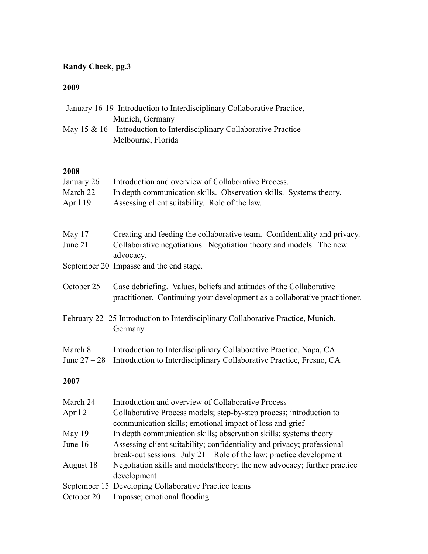# **Randy Cheek, pg.3**

# **2009**

|                      | May 15 & 16 Introduction to Interdisciplinary Collaborative Practice<br>Melbourne, Florida                                                        |
|----------------------|---------------------------------------------------------------------------------------------------------------------------------------------------|
| 2008                 |                                                                                                                                                   |
| January 26           | Introduction and overview of Collaborative Process.                                                                                               |
| March 22<br>April 19 | In depth communication skills. Observation skills. Systems theory.<br>Assessing client suitability. Role of the law.                              |
| May 17               | Creating and feeding the collaborative team. Confidentiality and privacy.                                                                         |
| June 21              | Collaborative negotiations. Negotiation theory and models. The new<br>advocacy.                                                                   |
|                      | September 20 Impasse and the end stage.                                                                                                           |
| October 25           | Case debriefing. Values, beliefs and attitudes of the Collaborative<br>practitioner. Continuing your development as a collaborative practitioner. |
|                      | February 22 -25 Introduction to Interdisciplinary Collaborative Practice, Munich,<br>Germany                                                      |
| March 8              | Introduction to Interdisciplinary Collaborative Practice, Napa, CA                                                                                |
| June $27 - 28$       | Introduction to Interdisciplinary Collaborative Practice, Fresno, CA                                                                              |
| 2007                 |                                                                                                                                                   |
| March 24             | Introduction and overview of Collaborative Process                                                                                                |
| April 21             | Collaborative Process models; step-by-step process; introduction to<br>communication skills; emotional impact of loss and grief                   |
| May 19               | In depth communication skills; observation skills; systems theory                                                                                 |
| June 16              | Assessing client suitability; confidentiality and privacy; professional<br>break-out sessions. July 21 Role of the law; practice development      |
| August 18            | Negotiation skills and models/theory; the new advocacy; further practice<br>development                                                           |
|                      | September 15 Developing Collaborative Practice teams                                                                                              |

January 16-19 Introduction to Interdisciplinary Collaborative Practice,

Munich, Germany

October 20 Impasse; emotional flooding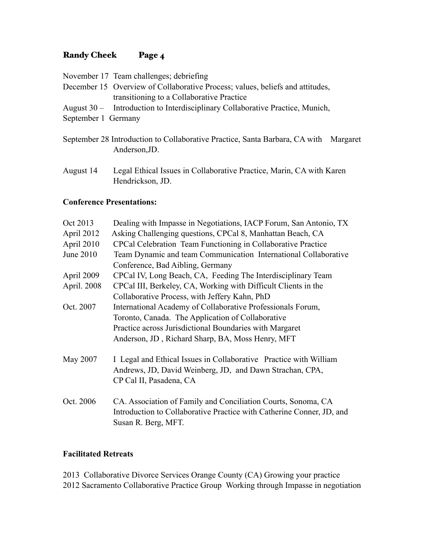## Randy Cheek Page 4

November 17 Team challenges; debriefing

- December 15 Overview of Collaborative Process; values, beliefs and attitudes, transitioning to a Collaborative Practice
- August 30 Introduction to Interdisciplinary Collaborative Practice, Munich,
- September 1 Germany
- September 28 Introduction to Collaborative Practice, Santa Barbara, CA with Margaret Anderson,JD.
- August 14 Legal Ethical Issues in Collaborative Practice, Marin, CA with Karen Hendrickson, JD.

## **Conference Presentations:**

| Oct 2013    | Dealing with Impasse in Negotiations, IACP Forum, San Antonio, TX                                                                                             |
|-------------|---------------------------------------------------------------------------------------------------------------------------------------------------------------|
| April 2012  | Asking Challenging questions, CPCal 8, Manhattan Beach, CA                                                                                                    |
| April 2010  | CPCal Celebration Team Functioning in Collaborative Practice                                                                                                  |
| June 2010   | Team Dynamic and team Communication International Collaborative                                                                                               |
|             | Conference, Bad Aibling, Germany                                                                                                                              |
| April 2009  | CPCal IV, Long Beach, CA, Feeding The Interdisciplinary Team                                                                                                  |
| April. 2008 | CPCal III, Berkeley, CA, Working with Difficult Clients in the                                                                                                |
|             | Collaborative Process, with Jeffery Kahn, PhD                                                                                                                 |
| Oct. 2007   | International Academy of Collaborative Professionals Forum,                                                                                                   |
|             | Toronto, Canada. The Application of Collaborative                                                                                                             |
|             | Practice across Jurisdictional Boundaries with Margaret                                                                                                       |
|             | Anderson, JD, Richard Sharp, BA, Moss Henry, MFT                                                                                                              |
| May 2007    | I Legal and Ethical Issues in Collaborative Practice with William<br>Andrews, JD, David Weinberg, JD, and Dawn Strachan, CPA,<br>CP Cal II, Pasadena, CA      |
| Oct. 2006   | CA. Association of Family and Conciliation Courts, Sonoma, CA<br>Introduction to Collaborative Practice with Catherine Conner, JD, and<br>Susan R. Berg, MFT. |

## **Facilitated Retreats**

2013 Collaborative Divorce Services Orange County (CA) Growing your practice 2012 Sacramento Collaborative Practice Group Working through Impasse in negotiation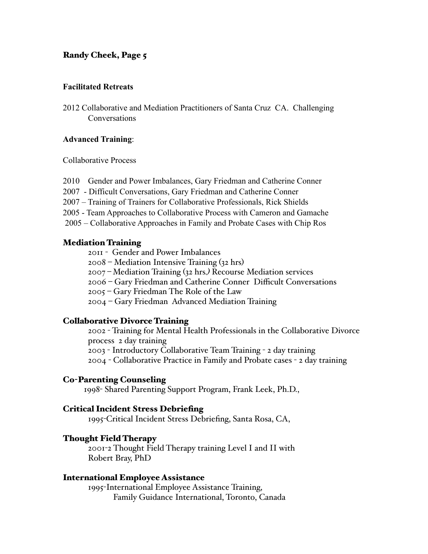## Randy Cheek, Page 5

#### **Facilitated Retreats**

2012 Collaborative and Mediation Practitioners of Santa Cruz CA. Challenging Conversations

#### **Advanced Training**:

Collaborative Process

- 2010 Gender and Power Imbalances, Gary Friedman and Catherine Conner
- 2007 Difficult Conversations, Gary Friedman and Catherine Conner
- 2007 Training of Trainers for Collaborative Professionals, Rick Shields
- 2005 Team Approaches to Collaborative Process with Cameron and Gamache
- 2005 Collaborative Approaches in Family and Probate Cases with Chip Ros

#### Mediation Training

2011 - Gender and Power Imbalances

- 2008 Mediation Intensive Training (32 hrs)
- 2007 *–* Mediation Training (32 hrs*.)* Recourse Mediation services
- 2006 Gary Friedman and Catherine Conner Difficult Conversations
- 2005 Gary Friedman The Role of the Law
- 2004 Gary Friedman Advanced Mediation Training

#### Collaborative Divorce Training

2002 - Training for Mental Health Professionals in the Collaborative Divorce process 2 day training 2003 - Introductory Collaborative Team Training - 2 day training

2004 - Collaborative Practice in Family and Probate cases - 2 day training

#### Co-Parenting Counseling

1998- Shared Parenting Support Program, Frank Leek, Ph.D.,

#### Critical Incident Stress Debriefing

1995-Critical Incident Stress Debriefing, Santa Rosa, CA,

#### Thought Field Therapy

2001-2 Thought Field Therapy training Level I and II with Robert Bray, PhD

#### International Employee Assistance

1995-International Employee Assistance Training, Family Guidance International, Toronto, Canada